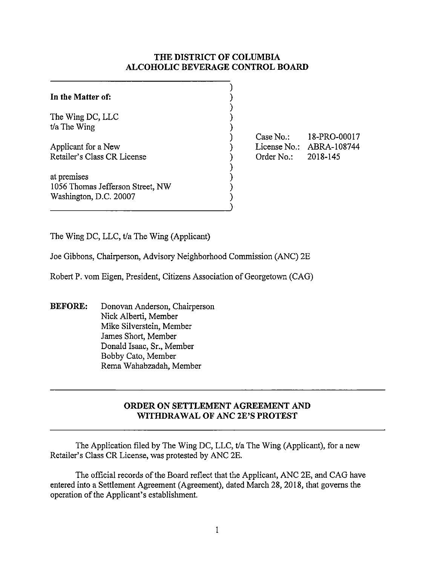## **THE DISTRICT OF COLUMBIA ALCOHOLIC BEVERAGE CONTROL BOARD**

#### **In the Matter of:**  The Wing DC, LLC t/a The Wing Applicant for a New Retailer's Class CR License at premises 1056 Thomas Jefferson Street, NW Washington, D.C. 20007 ) ) ) ) ) ) ) ) ) ) ) )

Case No.: License No.: ABRA-108744 Order No.: 18-PRO-00017 2018-145

The Wing DC, LLC, t/a The Wing (Applicant)

Joe Gibbons, Chairperson, Advisory Neighborhood Commission (ANC) 2E

Robert P. vom Eigen, President, Citizens Association of Georgetown (CAG)

**BEFORE:** Donovan Anderson, Chairperson Nick Alberti, Member Mike Silverstein, Member James Short, Member Donald Isaac, Sr., Member Bobby Cato, Member Rema Wahabzadah, Member

# **ORDER ON SETTLEMENT AGREEMENT AND WITHDRAWAL OF ANC 2E'S PROTEST**

The Application filed by The Wing DC, LLC, t/a The Wing (Applicant), for a new Retailer's Class CR License, was protested by ANC 2E.

The official records of the Board reflect that the Applicant, ANC 2E, and CAG have entered into a Settlement Agreement (Agreement), dated March 28, 2018, that governs the operation of the Applicant's establishment.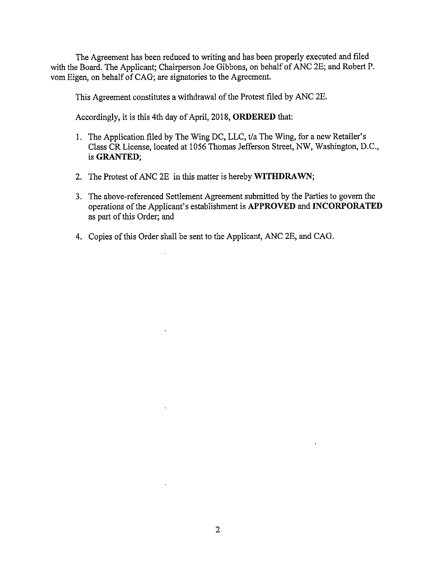The Agreement has been reduced to writing and has been properly executed and filed with the Board. The Applicant; Chairperson Joe Gibbons, on behalf of ANC 2E; and Robert P. vom Eigen, on behalf of CAG; are signatories to the Agreement.

This Agreement constitutes a withdrawal of the Protest filed by ANC 2E.

Accordingly, it is this 4th day of April, 2018, **ORDERED** that:

- I. The Application filed by The Wing DC, LLC, t/a The Wing, for a new Retailer's Class CR License, located at 1056 Thomas Jefferson Street, NW, Washington, D.C., is **GRANTED;**
- 2. The Protest of ANC 2E in this matter is hereby **WITHDRAWN;**
- 3. The above-referenced Settlement Agreement submitted by the Parties to govern the operations of the Applicant's establishment is **APPROVED and INCORPORATED**  as part of this Order; and
- 4. Copies of this Order shall be sent to the Applicant, ANC 2E, and CAG.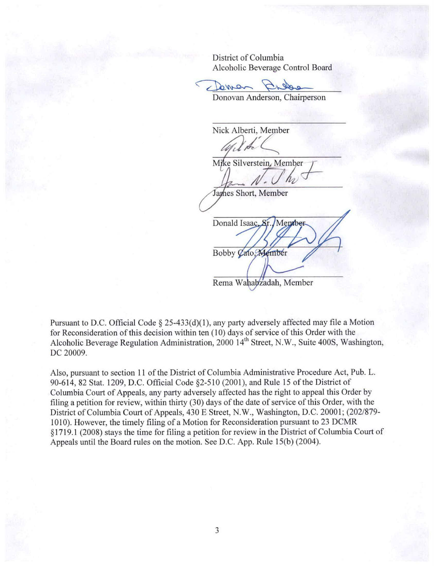District of Columbia

Alcoholic Beverage Control Board<br> **Control Board Property**<br> **Donovan Anderson Chairnerson** 

Donovan Anderson, Chairperson

Nick Alberti, Member  $_{\rm A}$ 

Mike Silverstein, Member

James Short, Member

Donald Isaac, Sr. Member Bobby Cato, Member

Rema Wahabzadah, Member

Pursuant to D.C. Official Code  $\S$  25-433(d)(1), any party adversely affected may file a Motion for Reconsideration of this decision within ten (10) days of service of this Order with the Alcoholic Beverage Regulation Administration, 2000 14<sup>th</sup> Street, N.W., Suite 400S, Washington, DC 20009.

Also, pursuant to section 11 of the District of Columbia Administrative Procedure Act, Pub. L. 90-614, 82 Stat. 1209, D.C. Official Code §2-510 (2001), and Rule 15 of the District of Columbia Court of Appeals, any party adversely affected has the right to appeal this Order by filing a petition for review, within thirty (30) days of the date of service of this Order, with the District of Columbia Court of Appeals, 430 E Street, N.W., Washington, D.C. 20001; (202/879- 1010). However, the timely filing of a Motion for Reconsideration pursuant to 23 DCMR § 1719. 1 (2008) stays the time for filing a petition for review in the District of Columbia Court of Appeals until the Board rules on the motion. See D.C. App. Rule 15(b) (2004).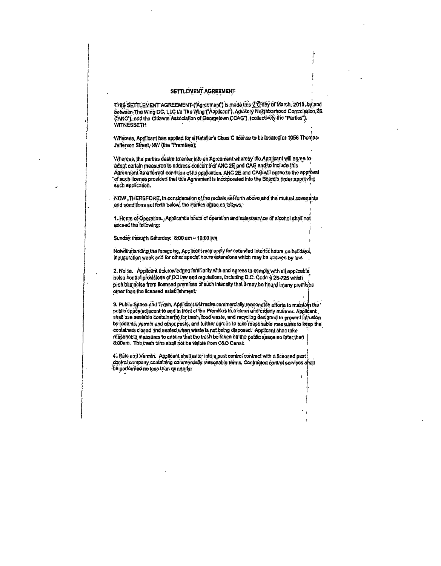### SETTLEMENT AGREEMENT

THIS SETTLEMENT AGREEMENT ("Agreement") is made this ZO day of March, 2018, by and between The Wing DC, LLC Va The Wing ("Applicant"), Advisory Neighborhood Commission 2E ("ANC"), and the Citizens Association of Georgetown ("CAG"), (collectively the "Parties"). **WITNESSETH** 

Whereas, Applicant has applied for a Retailer's Class C license to be located at 1056 Thomas: Jefferson Street, NW (the "Premises);

Whereas, the parties desire to enter into an Agreement whereby the Applicant will agree to adopt certain measures to address concerns of ANC 2E and CAG and to include this Agreement as a formal condition of its application. ANC 2E and CAG will agree to the approval of such license provided that this Agreement is incorporated into the Board's order approving such application.

NOW, THEREFORE, in consideration of the recitals set forth above and the mutual covenants and conditions set forth below, the Parties agree as follows:

1. Hours of Operation. Applicant's hours of operation and sales/service of alcohol shall not exceed the following:

Sunday through Saturday. 8:00 am - 10:00 pm

Notwithstanding the foregoing, Applicant may apply for extended interior hours on holidays, Inauguration week and for other special hours extensions which may be allowed by law.

2. Noise. Applicant acknowledges familiarity with and agrees to comply with all applicable noise control provisions of DC law and regulations, including D.C. Code \$25-725 which prohibits notse from licensed premises of such intensity that it may be heard in any premises other than the licensed establishment.

3. Public Space and Trash. Applicant will make commercially reasonable efforts to maintain the public space adjacent to and in front of the Premises in a clean and orderly manner. Applicant shall use sealable container(s) for trash, food waste, and recycling designed to prevent intrusion by rodents, vermin and other pests, and further agrees to take reasonable measures to keep the containers closed and sealed when waste is not being disposed. Applicant shall take reasonable measures to ensure that the trash be taken off the public space no later than 8:00am. The trash bins shall not be visible from C&O Canal.

4. Rais and Vermin. Applicant shall enter into a past control contract with a licensed pest, control company containing commercially reasonable terms. Contracted control services shall be performed no less than quarterly.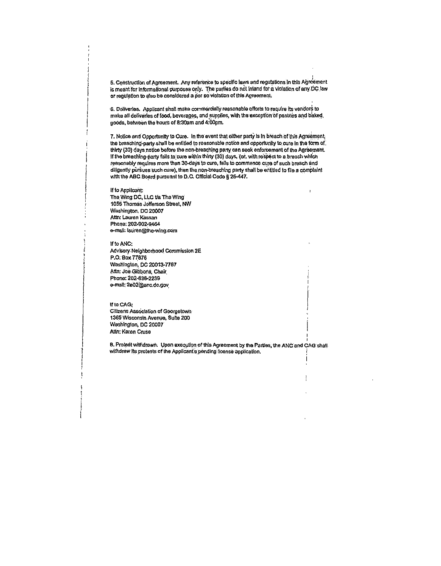5. Construction of Agreement. Any reference to specific laws and regulations in this Agreement is meant for informational purposes only. The parties do not intend for a violation of any DC law or regulation to also be considered a per se violation of this Agreement.

6. Deliveries. Applicant shall make commercially reasonable efforts to require its vendors to make all deliveries of food, beverages, and supplies, with the exception of pastries and baked, goods, between the hours of 8:30am and 4:00pm.

7. Notice and Opportunity to Cure. In the event that either party is in breach of this Agreement, the breaching-party shall be entitled to reasonable notice and opportunity to cure in the form of, thirty (30) days notice before the non-breaching party can seek enforcement of the Agreement. If the breaching-party fails to cure within thirty (30) days, (or, with respect to a breach which reasonably requires more than 30-days to cure, fails to commence cure of such breach and diligently pursues such cure), then the non-breaching party shall be entitled to file a complaint with the ABC Board pursuant to D.C. Official Code § 25-447.

 $\mathbf{r}$ 

If to Applicant: The Wing DC, LLC t/a The Wing 1056 Thomas Jefferson Street, NW Washington, DC 20007 Attn: Lauren Kassan Phone: 202-902-9464 e-mail: lauren@the-wing.com

If to ANC: Advisory Neighborhood Commission 2E P.O. Box 77876 Washington, DC 20013-7787 Attn: Joe Gibbons, Chair Phone: 202-836-2239 e-mail: 2e02@anc.dc.gov

### If to CAG:

Citizens Association of Georgetown 1365 Wisconsin Avenue, Suite 200 Washington, DC 20007 Attn: Karen Cruse

B. Protest withdrawn. Upon execution of this Agreement by the Parties, the ANC and CAG shall withdraw its protests of the Applicant's pending license application.